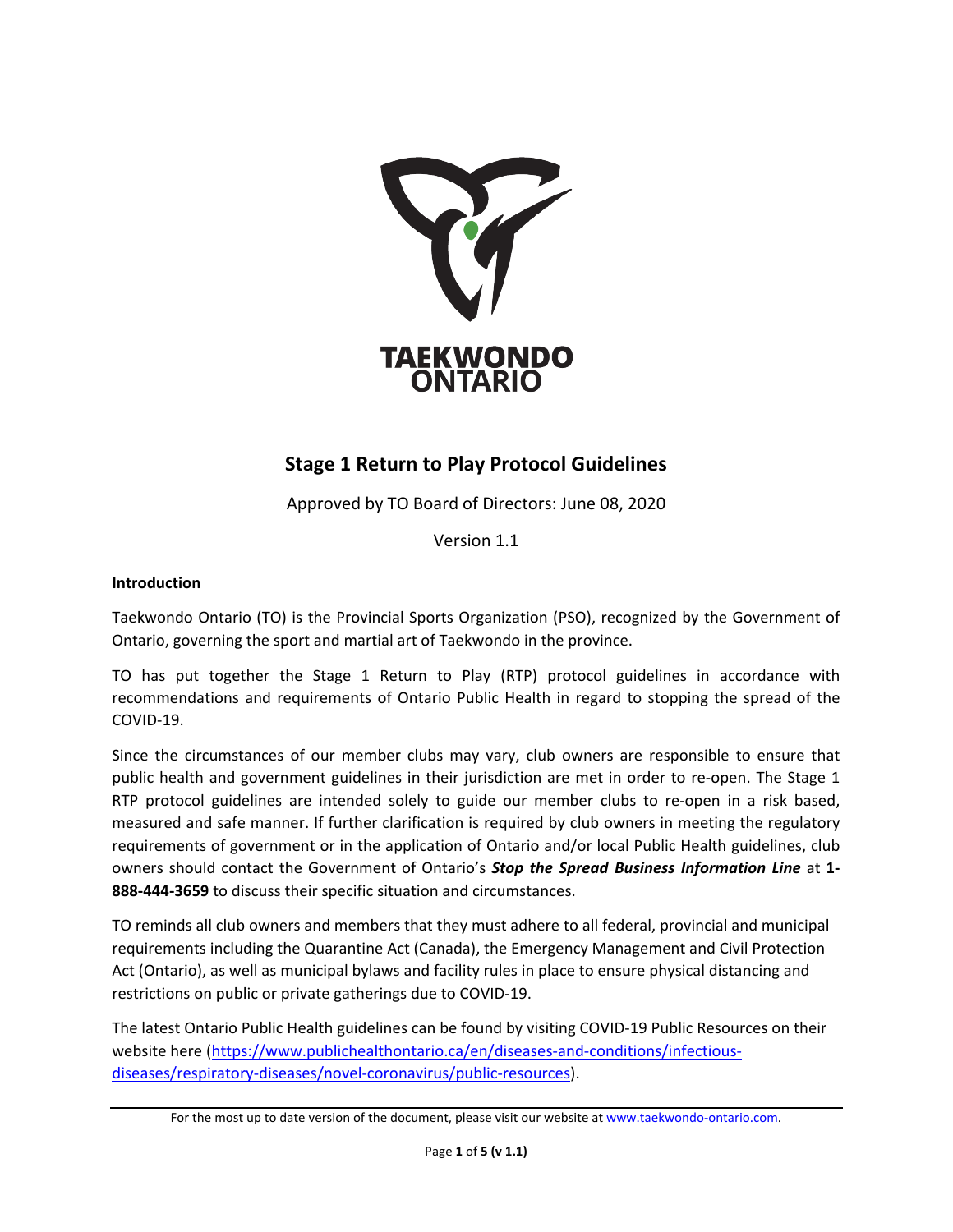

## **Stage 1 Return to Play Protocol Guidelines**

Approved by TO Board of Directors: June 08, 2020

Version 1.1

## **Introduction**

Taekwondo Ontario (TO) is the Provincial Sports Organization (PSO), recognized by the Government of Ontario, governing the sport and martial art of Taekwondo in the province.

TO has put together the Stage 1 Return to Play (RTP) protocol guidelines in accordance with recommendations and requirements of Ontario Public Health in regard to stopping the spread of the COVID-19.

Since the circumstances of our member clubs may vary, club owners are responsible to ensure that public health and government guidelines in their jurisdiction are met in order to re-open. The Stage 1 RTP protocol guidelines are intended solely to guide our member clubs to re-open in a risk based, measured and safe manner. If further clarification is required by club owners in meeting the regulatory requirements of government or in the application of Ontario and/or local Public Health guidelines, club owners should contact the Government of Ontario's *Stop the Spread Business Information Line* at **1- 888-444-3659** to discuss their specific situation and circumstances.

TO reminds all club owners and members that they must adhere to all federal, provincial and municipal requirements including the Quarantine Act (Canada), the Emergency Management and Civil Protection Act (Ontario), as well as municipal bylaws and facility rules in place to ensure physical distancing and restrictions on public or private gatherings due to COVID-19.

The latest Ontario Public Health guidelines can be found by visiting COVID-19 Public Resources on their website here [\(https://www.publichealthontario.ca/en/diseases-and-conditions/infectious](https://www.publichealthontario.ca/en/diseases-and-conditions/infectious-diseases/respiratory-diseases/novel-coronavirus/public-resources)[diseases/respiratory-diseases/novel-coronavirus/public-resources\)](https://www.publichealthontario.ca/en/diseases-and-conditions/infectious-diseases/respiratory-diseases/novel-coronavirus/public-resources).

For the most up to date version of the document, please visit our website a[t www.taekwondo-ontario.com.](http://www.taekwondo-ontario.com/)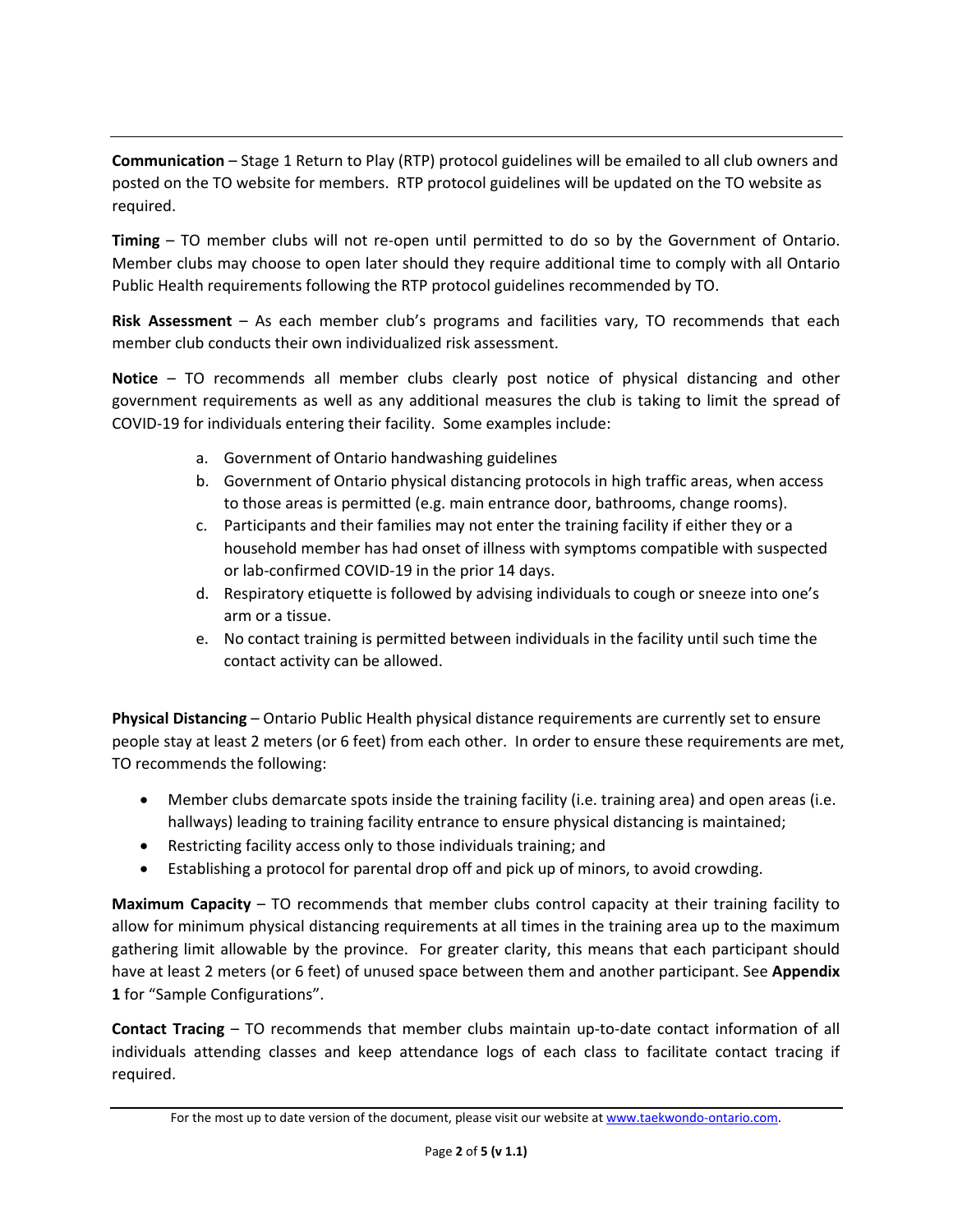**Communication** – Stage 1 Return to Play (RTP) protocol guidelines will be emailed to all club owners and posted on the TO website for members. RTP protocol guidelines will be updated on the TO website as required.

**Timing** – TO member clubs will not re-open until permitted to do so by the Government of Ontario. Member clubs may choose to open later should they require additional time to comply with all Ontario Public Health requirements following the RTP protocol guidelines recommended by TO.

**Risk Assessment** – As each member club's programs and facilities vary, TO recommends that each member club conducts their own individualized risk assessment.

**Notice** – TO recommends all member clubs clearly post notice of physical distancing and other government requirements as well as any additional measures the club is taking to limit the spread of COVID-19 for individuals entering their facility. Some examples include:

- a. Government of Ontario handwashing guidelines
- b. Government of Ontario physical distancing protocols in high traffic areas, when access to those areas is permitted (e.g. main entrance door, bathrooms, change rooms).
- c. Participants and their families may not enter the training facility if either they or a household member has had onset of illness with symptoms compatible with suspected or lab-confirmed COVID-19 in the prior 14 days.
- d. Respiratory etiquette is followed by advising individuals to cough or sneeze into one's arm or a tissue.
- e. No contact training is permitted between individuals in the facility until such time the contact activity can be allowed.

**Physical Distancing** – Ontario Public Health physical distance requirements are currently set to ensure people stay at least 2 meters (or 6 feet) from each other. In order to ensure these requirements are met, TO recommends the following:

- Member clubs demarcate spots inside the training facility (i.e. training area) and open areas (i.e. hallways) leading to training facility entrance to ensure physical distancing is maintained;
- Restricting facility access only to those individuals training; and
- Establishing a protocol for parental drop off and pick up of minors, to avoid crowding.

**Maximum Capacity** – TO recommends that member clubs control capacity at their training facility to allow for minimum physical distancing requirements at all times in the training area up to the maximum gathering limit allowable by the province. For greater clarity, this means that each participant should have at least 2 meters (or 6 feet) of unused space between them and another participant. See **Appendix 1** for "Sample Configurations".

**Contact Tracing** – TO recommends that member clubs maintain up-to-date contact information of all individuals attending classes and keep attendance logs of each class to facilitate contact tracing if required.

For the most up to date version of the document, please visit our website a[t www.taekwondo-ontario.com.](http://www.taekwondo-ontario.com/)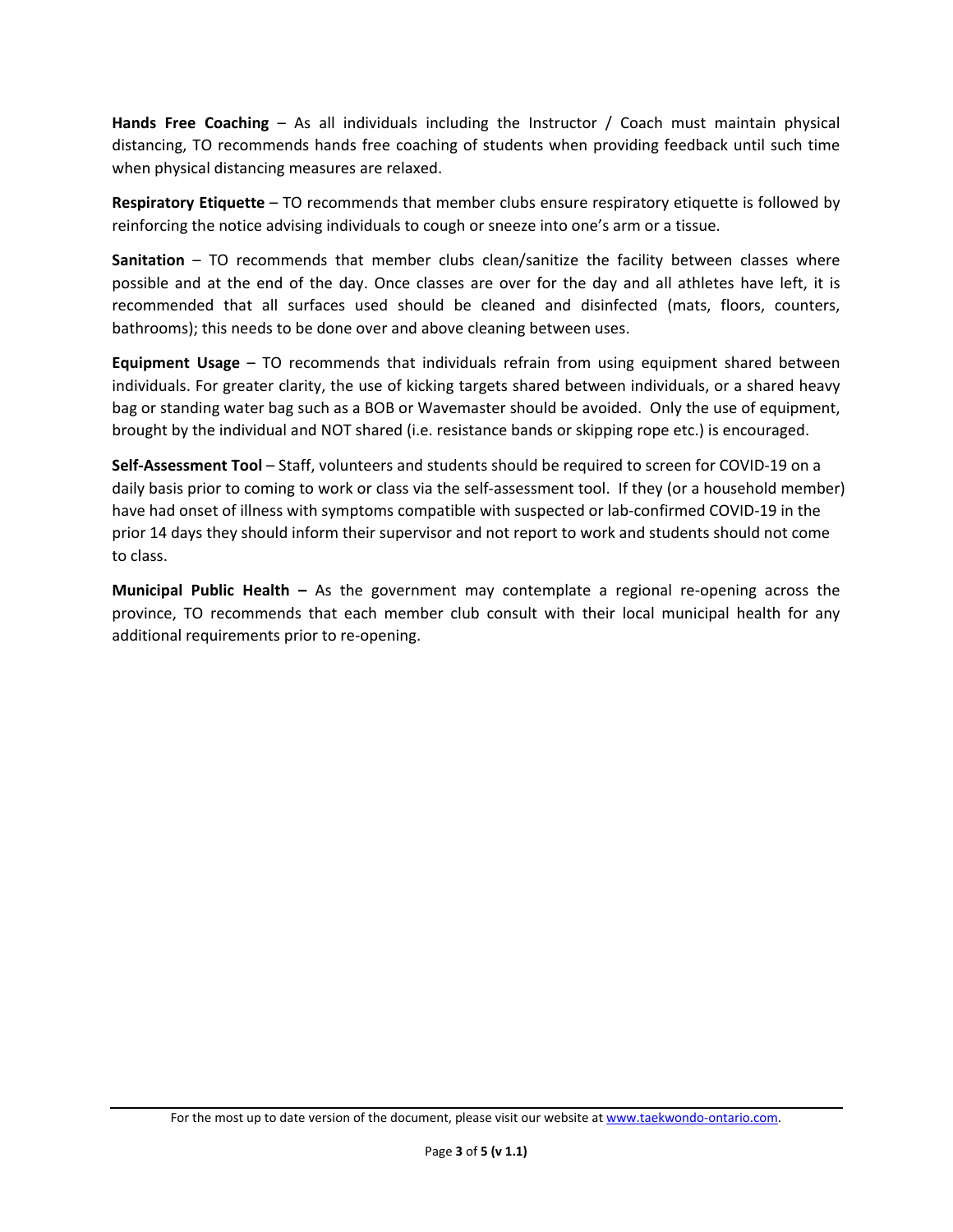**Hands Free Coaching** – As all individuals including the Instructor / Coach must maintain physical distancing, TO recommends hands free coaching of students when providing feedback until such time when physical distancing measures are relaxed.

**Respiratory Etiquette** – TO recommends that member clubs ensure respiratory etiquette is followed by reinforcing the notice advising individuals to cough or sneeze into one's arm or a tissue.

**Sanitation** – TO recommends that member clubs clean/sanitize the facility between classes where possible and at the end of the day. Once classes are over for the day and all athletes have left, it is recommended that all surfaces used should be cleaned and disinfected (mats, floors, counters, bathrooms); this needs to be done over and above cleaning between uses.

**Equipment Usage** – TO recommends that individuals refrain from using equipment shared between individuals. For greater clarity, the use of kicking targets shared between individuals, or a shared heavy bag or standing water bag such as a BOB or Wavemaster should be avoided. Only the use of equipment, brought by the individual and NOT shared (i.e. resistance bands or skipping rope etc.) is encouraged.

**Self-Assessment Tool** – Staff, volunteers and students should be required to screen for COVID-19 on a daily basis prior to coming to work or class via the self-assessment tool. If they (or a household member) have had onset of illness with symptoms compatible with suspected or lab-confirmed COVID-19 in the prior 14 days they should inform their supervisor and not report to work and students should not come to class.

**Municipal Public Health –** As the government may contemplate a regional re-opening across the province, TO recommends that each member club consult with their local municipal health for any additional requirements prior to re-opening.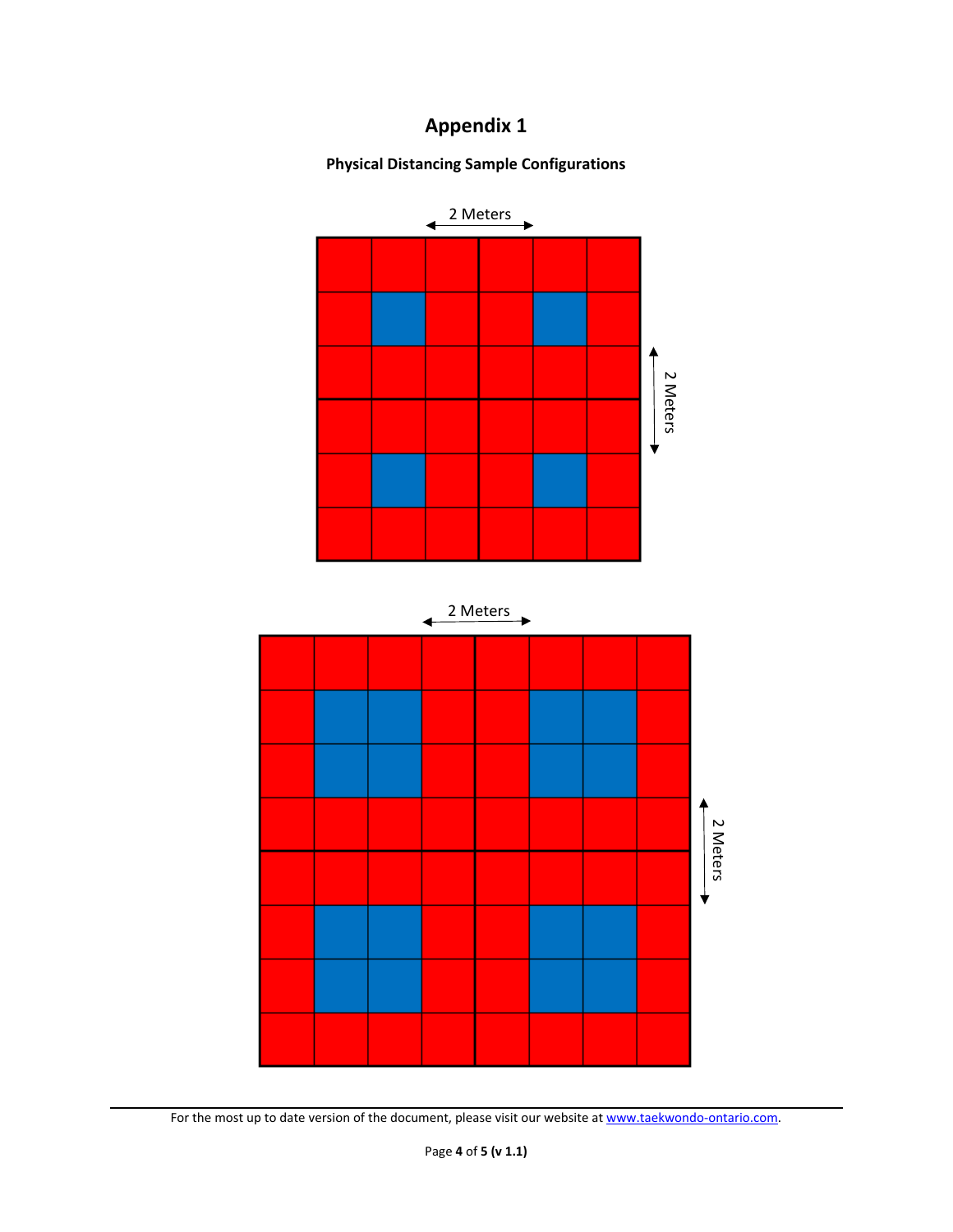## **Appendix 1**

**Physical Distancing Sample Configurations**





For the most up to date version of the document, please visit our website a[t www.taekwondo-ontario.com.](http://www.taekwondo-ontario.com/)